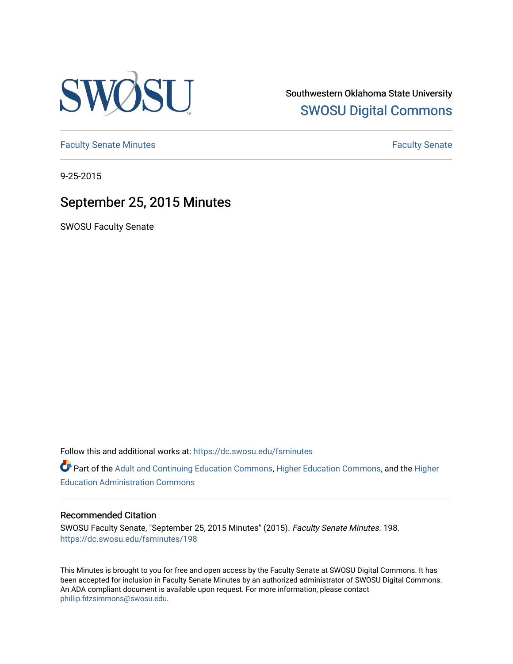

Southwestern Oklahoma State University [SWOSU Digital Commons](https://dc.swosu.edu/) 

[Faculty Senate Minutes](https://dc.swosu.edu/fsminutes) **Faculty** Senate Minutes

9-25-2015

## September 25, 2015 Minutes

SWOSU Faculty Senate

Follow this and additional works at: [https://dc.swosu.edu/fsminutes](https://dc.swosu.edu/fsminutes?utm_source=dc.swosu.edu%2Ffsminutes%2F198&utm_medium=PDF&utm_campaign=PDFCoverPages) 

Part of the [Adult and Continuing Education Commons,](http://network.bepress.com/hgg/discipline/1375?utm_source=dc.swosu.edu%2Ffsminutes%2F198&utm_medium=PDF&utm_campaign=PDFCoverPages) [Higher Education Commons,](http://network.bepress.com/hgg/discipline/1245?utm_source=dc.swosu.edu%2Ffsminutes%2F198&utm_medium=PDF&utm_campaign=PDFCoverPages) and the [Higher](http://network.bepress.com/hgg/discipline/791?utm_source=dc.swosu.edu%2Ffsminutes%2F198&utm_medium=PDF&utm_campaign=PDFCoverPages) [Education Administration Commons](http://network.bepress.com/hgg/discipline/791?utm_source=dc.swosu.edu%2Ffsminutes%2F198&utm_medium=PDF&utm_campaign=PDFCoverPages) 

#### Recommended Citation

SWOSU Faculty Senate, "September 25, 2015 Minutes" (2015). Faculty Senate Minutes. 198. [https://dc.swosu.edu/fsminutes/198](https://dc.swosu.edu/fsminutes/198?utm_source=dc.swosu.edu%2Ffsminutes%2F198&utm_medium=PDF&utm_campaign=PDFCoverPages) 

This Minutes is brought to you for free and open access by the Faculty Senate at SWOSU Digital Commons. It has been accepted for inclusion in Faculty Senate Minutes by an authorized administrator of SWOSU Digital Commons. An ADA compliant document is available upon request. For more information, please contact [phillip.fitzsimmons@swosu.edu](mailto:phillip.fitzsimmons@swosu.edu).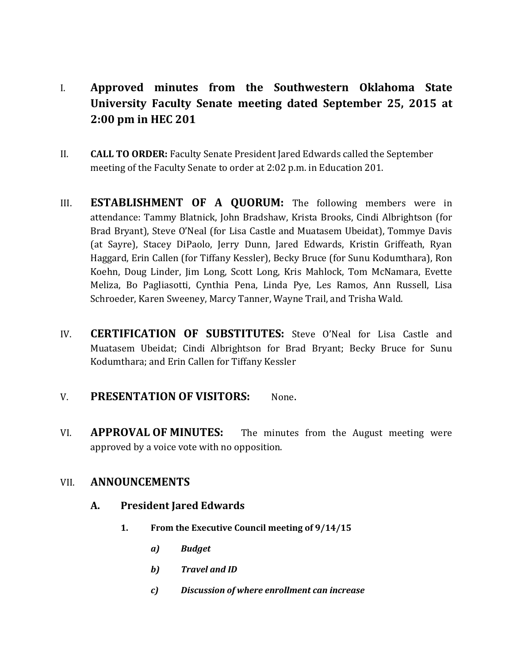- I. **Approved minutes from the Southwestern Oklahoma State University Faculty Senate meeting dated September 25, 2015 at 2:00 pm in HEC 201**
- II. **CALL TO ORDER:** Faculty Senate President Jared Edwards called the September meeting of the Faculty Senate to order at 2:02 p.m. in Education 201.
- III. **ESTABLISHMENT OF A QUORUM:** The following members were in attendance: Tammy Blatnick, John Bradshaw, Krista Brooks, Cindi Albrightson (for Brad Bryant), Steve O'Neal (for Lisa Castle and Muatasem Ubeidat), Tommye Davis (at Sayre), Stacey DiPaolo, Jerry Dunn, Jared Edwards, Kristin Griffeath, Ryan Haggard, Erin Callen (for Tiffany Kessler), Becky Bruce (for Sunu Kodumthara), Ron Koehn, Doug Linder, Jim Long, Scott Long, Kris Mahlock, Tom McNamara, Evette Meliza, Bo Pagliasotti, Cynthia Pena, Linda Pye, Les Ramos, Ann Russell, Lisa Schroeder, Karen Sweeney, Marcy Tanner, Wayne Trail, and Trisha Wald.
- IV. **CERTIFICATION OF SUBSTITUTES:** Steve O'Neal for Lisa Castle and Muatasem Ubeidat; Cindi Albrightson for Brad Bryant; Becky Bruce for Sunu Kodumthara; and Erin Callen for Tiffany Kessler

### V. **PRESENTATION OF VISITORS:** None.

VI. **APPROVAL OF MINUTES:** The minutes from the August meeting were approved by a voice vote with no opposition.

### VII. **ANNOUNCEMENTS**

### **A. President Jared Edwards**

- **1. From the Executive Council meeting of 9/14/15**
	- *a) Budget*
	- *b) Travel and ID*
	- *c) Discussion of where enrollment can increase*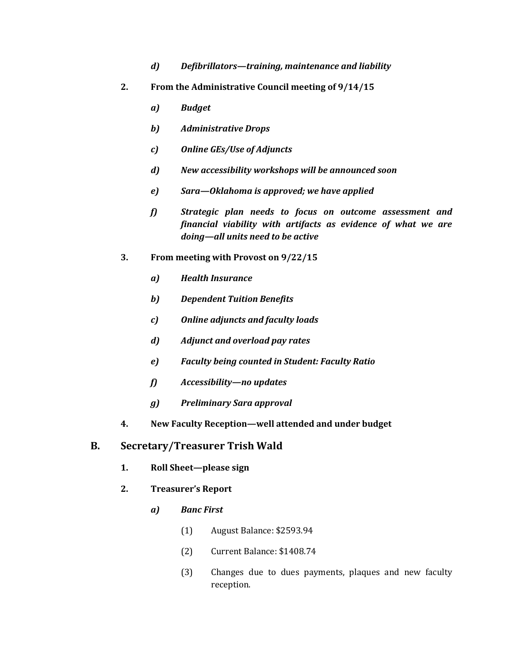- *d) Defibrillators—training, maintenance and liability*
- **2. From the Administrative Council meeting of 9/14/15**
	- *a) Budget*
	- *b) Administrative Drops*
	- *c) Online GEs/Use of Adjuncts*
	- *d) New accessibility workshops will be announced soon*
	- *e) Sara—Oklahoma is approved; we have applied*
	- *f) Strategic plan needs to focus on outcome assessment and financial viability with artifacts as evidence of what we are doing—all units need to be active*
- **3. From meeting with Provost on 9/22/15**
	- *a) Health Insurance*
	- *b) Dependent Tuition Benefits*
	- *c) Online adjuncts and faculty loads*
	- *d) Adjunct and overload pay rates*
	- *e) Faculty being counted in Student: Faculty Ratio*
	- *f) Accessibility—no updates*
	- *g) Preliminary Sara approval*
- **4. New Faculty Reception—well attended and under budget**

#### **B. Secretary/Treasurer Trish Wald**

- **1. Roll Sheet—please sign**
- **2. Treasurer's Report**
	- *a) Banc First*
		- (1) August Balance: \$2593.94
		- (2) Current Balance: \$1408.74
		- (3) Changes due to dues payments, plaques and new faculty reception.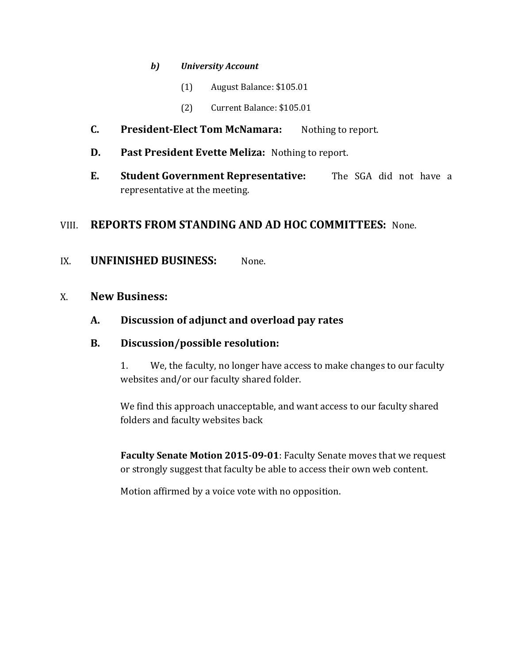#### *b) University Account*

- (1) August Balance: \$105.01
- (2) Current Balance: \$105.01
- **C. President-Elect Tom McNamara:** Nothing to report.
- **D. Past President Evette Meliza:** Nothing to report.
- **E. Student Government Representative:** The SGA did not have a representative at the meeting.

## VIII. **REPORTS FROM STANDING AND AD HOC COMMITTEES:** None.

### IX. **UNFINISHED BUSINESS:** None.

## X. **New Business:**

## **A. Discussion of adjunct and overload pay rates**

#### **B. Discussion/possible resolution:**

1. We, the faculty, no longer have access to make changes to our faculty websites and/or our faculty shared folder.

We find this approach unacceptable, and want access to our faculty shared folders and faculty websites back

**Faculty Senate Motion 2015-09-01**: Faculty Senate moves that we request or strongly suggest that faculty be able to access their own web content.

Motion affirmed by a voice vote with no opposition.